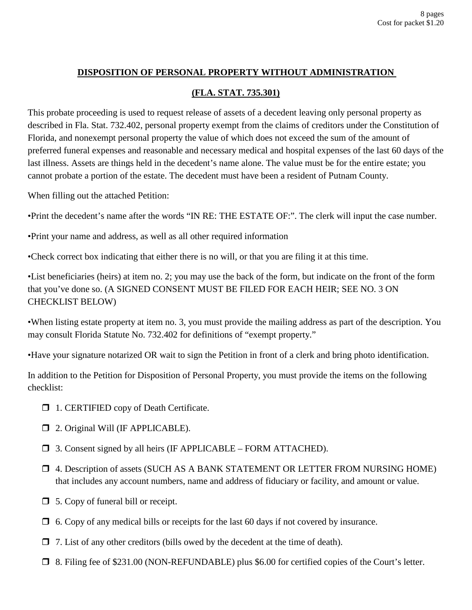## **DISPOSITION OF PERSONAL PROPERTY WITHOUT ADMINISTRATION**

## **(FLA. STAT. 735.301)**

This probate proceeding is used to request release of assets of a decedent leaving only personal property as described in Fla. Stat. 732.402, personal property exempt from the claims of creditors under the Constitution of Florida, and nonexempt personal property the value of which does not exceed the sum of the amount of preferred funeral expenses and reasonable and necessary medical and hospital expenses of the last 60 days of the last illness. Assets are things held in the decedent's name alone. The value must be for the entire estate; you cannot probate a portion of the estate. The decedent must have been a resident of Putnam County.

When filling out the attached Petition:

•Print the decedent's name after the words "IN RE: THE ESTATE OF:". The clerk will input the case number.

•Print your name and address, as well as all other required information

•Check correct box indicating that either there is no will, or that you are filing it at this time.

•List beneficiaries (heirs) at item no. 2; you may use the back of the form, but indicate on the front of the form that you've done so. (A SIGNED CONSENT MUST BE FILED FOR EACH HEIR; SEE NO. 3 ON CHECKLIST BELOW)

•When listing estate property at item no. 3, you must provide the mailing address as part of the description. You may consult Florida Statute No. 732.402 for definitions of "exempt property."

•Have your signature notarized OR wait to sign the Petition in front of a clerk and bring photo identification.

In addition to the Petition for Disposition of Personal Property, you must provide the items on the following checklist:

- □ 1. CERTIFIED copy of Death Certificate.
- 2. Original Will (IF APPLICABLE).
- 3. Consent signed by all heirs (IF APPLICABLE FORM ATTACHED).
- 4. Description of assets (SUCH AS A BANK STATEMENT OR LETTER FROM NURSING HOME) that includes any account numbers, name and address of fiduciary or facility, and amount or value.
- □ 5. Copy of funeral bill or receipt.
- $\Box$  6. Copy of any medical bills or receipts for the last 60 days if not covered by insurance.
- $\Box$  7. List of any other creditors (bills owed by the decedent at the time of death).
- 8. Filing fee of \$231.00 (NON-REFUNDABLE) plus \$6.00 for certified copies of the Court's letter.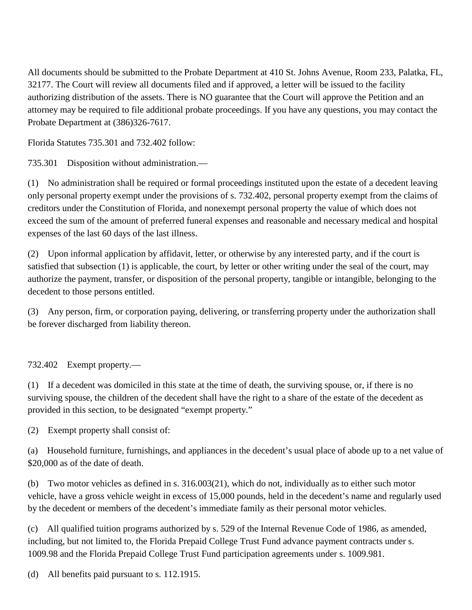All documents should be submitted to the Probate Department at 410 St. Johns Avenue, Room 233, Palatka, FL, 32177. The Court will review all documents filed and if approved, a letter will be issued to the facility authorizing distribution of the assets. There is NO guarantee that the Court will approve the Petition and an attorney may be required to file additional probate proceedings. If you have any questions, you may contact the Probate Department at (386)326-7617.

Florida Statutes 735.301 and 732.402 follow:

735.301 Disposition without administration.—

(1) No administration shall be required or formal proceedings instituted upon the estate of a decedent leaving only personal property exempt under the provisions of s. 732.402, personal property exempt from the claims of creditors under the Constitution of Florida, and nonexempt personal property the value of which does not exceed the sum of the amount of preferred funeral expenses and reasonable and necessary medical and hospital expenses of the last 60 days of the last illness.

(2) Upon informal application by affidavit, letter, or otherwise by any interested party, and if the court is satisfied that subsection (1) is applicable, the court, by letter or other writing under the seal of the court, may authorize the payment, transfer, or disposition of the personal property, tangible or intangible, belonging to the decedent to those persons entitled.

(3) Any person, firm, or corporation paying, delivering, or transferring property under the authorization shall be forever discharged from liability thereon.

## 732.402 Exempt property.—

(1) If a decedent was domiciled in this state at the time of death, the surviving spouse, or, if there is no surviving spouse, the children of the decedent shall have the right to a share of the estate of the decedent as provided in this section, to be designated "exempt property."

(2) Exempt property shall consist of:

(a) Household furniture, furnishings, and appliances in the decedent's usual place of abode up to a net value of \$20,000 as of the date of death.

(b) Two motor vehicles as defined in s. 316.003(21), which do not, individually as to either such motor vehicle, have a gross vehicle weight in excess of 15,000 pounds, held in the decedent's name and regularly used by the decedent or members of the decedent's immediate family as their personal motor vehicles.

(c) All qualified tuition programs authorized by s. 529 of the Internal Revenue Code of 1986, as amended, including, but not limited to, the Florida Prepaid College Trust Fund advance payment contracts under s. 1009.98 and the Florida Prepaid College Trust Fund participation agreements under s. 1009.981.

(d) All benefits paid pursuant to s. 112.1915.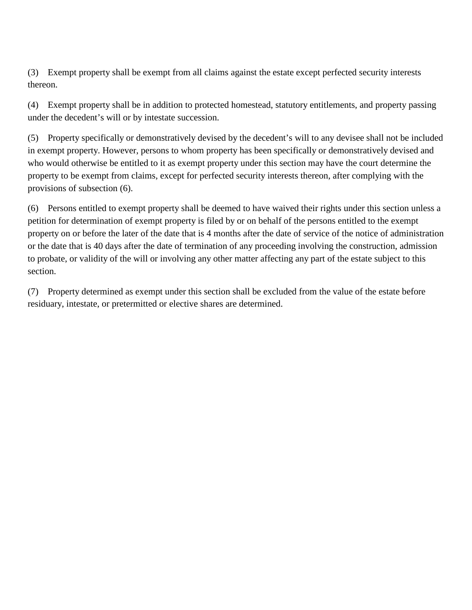(3) Exempt property shall be exempt from all claims against the estate except perfected security interests thereon.

(4) Exempt property shall be in addition to protected homestead, statutory entitlements, and property passing under the decedent's will or by intestate succession.

(5) Property specifically or demonstratively devised by the decedent's will to any devisee shall not be included in exempt property. However, persons to whom property has been specifically or demonstratively devised and who would otherwise be entitled to it as exempt property under this section may have the court determine the property to be exempt from claims, except for perfected security interests thereon, after complying with the provisions of subsection (6).

(6) Persons entitled to exempt property shall be deemed to have waived their rights under this section unless a petition for determination of exempt property is filed by or on behalf of the persons entitled to the exempt property on or before the later of the date that is 4 months after the date of service of the notice of administration or the date that is 40 days after the date of termination of any proceeding involving the construction, admission to probate, or validity of the will or involving any other matter affecting any part of the estate subject to this section.

(7) Property determined as exempt under this section shall be excluded from the value of the estate before residuary, intestate, or pretermitted or elective shares are determined.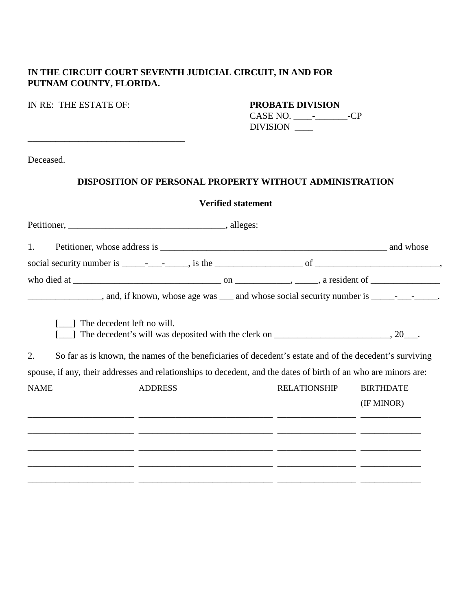## **IN THE CIRCUIT COURT SEVENTH JUDICIAL CIRCUIT, IN AND FOR PUTNAM COUNTY, FLORIDA.**

#### IN RE: THE ESTATE OF: **PROBATE DIVISION**

**\_\_\_\_\_\_\_\_\_\_\_\_\_\_\_\_\_\_\_\_\_\_\_\_\_\_\_\_\_\_\_\_\_\_**

CASE NO. \_\_\_\_-\_\_\_\_\_\_\_-CP DIVISION \_\_\_\_

Deceased.

### **DISPOSITION OF PERSONAL PROPERTY WITHOUT ADMINISTRATION**

#### **Verified statement**

| 1.          |                                                                                                                                       |                                                              |                                |
|-------------|---------------------------------------------------------------------------------------------------------------------------------------|--------------------------------------------------------------|--------------------------------|
|             |                                                                                                                                       |                                                              |                                |
|             |                                                                                                                                       |                                                              |                                |
|             | _____________________, and, if known, whose age was ____ and whose social security number is _______________.                         |                                                              |                                |
| 2.          | The decedent left no will.<br>So far as is known, the names of the beneficiaries of decedent's estate and of the decedent's surviving |                                                              |                                |
|             | spouse, if any, their addresses and relationships to decedent, and the dates of birth of an who are minors are:                       |                                                              |                                |
| <b>NAME</b> | <b>ADDRESS</b>                                                                                                                        | <b>RELATIONSHIP</b>                                          | <b>BIRTHDATE</b><br>(IF MINOR) |
|             |                                                                                                                                       |                                                              |                                |
|             |                                                                                                                                       |                                                              |                                |
|             |                                                                                                                                       | <u> 1989 - Andrea Sterne, amerikansk politiker (d. 1989)</u> |                                |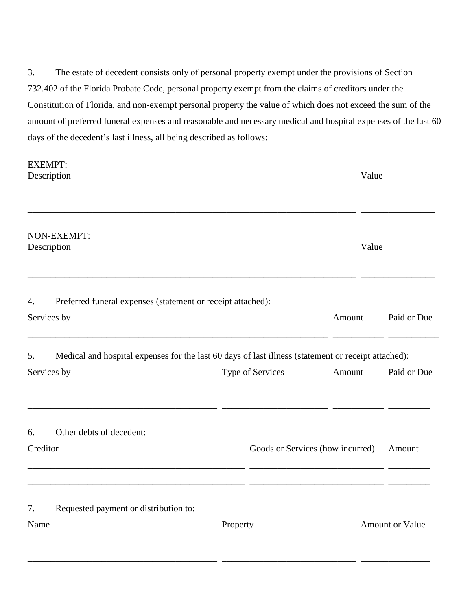3. The estate of decedent consists only of personal property exempt under the provisions of Section 732.402 of the Florida Probate Code, personal property exempt from the claims of creditors under the Constitution of Florida, and non-exempt personal property the value of which does not exceed the sum of the amount of preferred funeral expenses and reasonable and necessary medical and hospital expenses of the last 60 days of the decedent's last illness, all being described as follows:

|             | <b>EXEMPT:</b>                                                                                      |                  |                                            |                        |
|-------------|-----------------------------------------------------------------------------------------------------|------------------|--------------------------------------------|------------------------|
|             | Description                                                                                         |                  | Value                                      |                        |
|             |                                                                                                     |                  |                                            |                        |
|             | NON-EXEMPT:<br>Description                                                                          |                  | Value                                      |                        |
| 4.          | Preferred funeral expenses (statement or receipt attached):                                         |                  |                                            |                        |
| Services by |                                                                                                     |                  | Amount                                     | Paid or Due            |
| 5.          | Medical and hospital expenses for the last 60 days of last illness (statement or receipt attached): |                  |                                            |                        |
|             | Services by                                                                                         | Type of Services | Amount                                     | Paid or Due            |
| 6.          | Other debts of decedent:                                                                            |                  |                                            |                        |
| Creditor    |                                                                                                     |                  | Goods or Services (how incurred)<br>Amount |                        |
| 7.          | Requested payment or distribution to:                                                               |                  |                                            |                        |
| Name        |                                                                                                     | Property         |                                            | <b>Amount or Value</b> |
|             |                                                                                                     |                  |                                            |                        |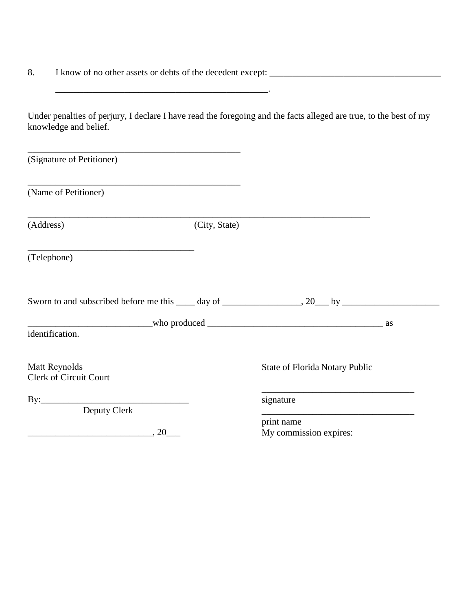8. I know of no other assets or debts of the decedent except: \_\_\_\_\_\_\_\_\_\_\_\_\_\_\_\_\_\_\_\_\_\_\_\_\_\_\_\_\_\_\_\_\_\_\_\_\_

Under penalties of perjury, I declare I have read the foregoing and the facts alleged are true, to the best of my knowledge and belief.

 $\frac{1}{2}$  ,  $\frac{1}{2}$  ,  $\frac{1}{2}$  ,  $\frac{1}{2}$  ,  $\frac{1}{2}$  ,  $\frac{1}{2}$  ,  $\frac{1}{2}$  ,  $\frac{1}{2}$  ,  $\frac{1}{2}$  ,  $\frac{1}{2}$  ,  $\frac{1}{2}$  ,  $\frac{1}{2}$  ,  $\frac{1}{2}$  ,  $\frac{1}{2}$  ,  $\frac{1}{2}$  ,  $\frac{1}{2}$  ,  $\frac{1}{2}$  ,  $\frac{1}{2}$  ,  $\frac{1$ 

| (Signature of Petitioner)                                                        |               |                                       |  |
|----------------------------------------------------------------------------------|---------------|---------------------------------------|--|
| (Name of Petitioner)                                                             |               |                                       |  |
| (Address)                                                                        | (City, State) |                                       |  |
| <u> 1989 - Johann John Stone, mars and de Brasilian (b. 1989)</u><br>(Telephone) |               |                                       |  |
|                                                                                  |               |                                       |  |
|                                                                                  |               |                                       |  |
| identification.                                                                  |               |                                       |  |
| Matt Reynolds<br><b>Clerk of Circuit Court</b>                                   |               | <b>State of Florida Notary Public</b> |  |
|                                                                                  |               | signature                             |  |
| Deputy Clerk                                                                     |               |                                       |  |
|                                                                                  |               | print name                            |  |
| $\overbrace{\hspace{2.5cm}}^{20}$                                                |               | My commission expires:                |  |